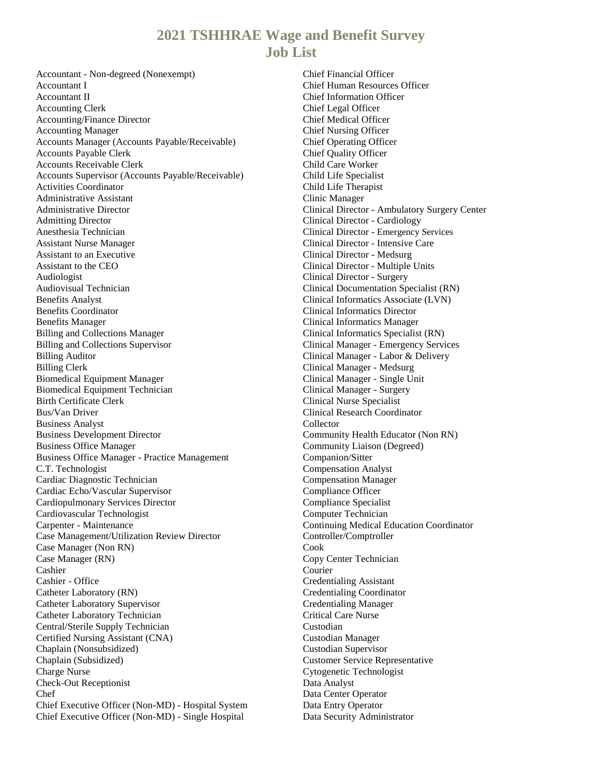## **2021 TSHHRAE Wage and Benefit Survey Job List**

Accountant - Non-degreed (Nonexempt) Accountant I Accountant II Accounting Clerk Accounting/Finance Director Accounting Manager Accounts Manager (Accounts Payable/Receivable) Accounts Payable Clerk Accounts Receivable Clerk Accounts Supervisor (Accounts Payable/Receivable) Activities Coordinator Administrative Assistant Administrative Director Admitting Director Anesthesia Technician Assistant Nurse Manager Assistant to an Executive Assistant to the CEO Audiologist Audiovisual Technician Benefits Analyst Benefits Coordinator Benefits Manager Billing and Collections Manager Billing and Collections Supervisor Billing Auditor Billing Clerk Biomedical Equipment Manager Biomedical Equipment Technician Birth Certificate Clerk Bus/Van Driver Business Analyst Business Development Director Business Office Manager Business Office Manager - Practice Management C.T. Technologist Cardiac Diagnostic Technician Cardiac Echo/Vascular Supervisor Cardiopulmonary Services Director Cardiovascular Technologist Carpenter - Maintenance Case Management/Utilization Review Director Case Manager (Non RN) Case Manager (RN) Cashier Cashier - Office Catheter Laboratory (RN) Catheter Laboratory Supervisor Catheter Laboratory Technician Central/Sterile Supply Technician Certified Nursing Assistant (CNA) Chaplain (Nonsubsidized) Chaplain (Subsidized) Charge Nurse Check-Out Receptionist Chef Chief Executive Officer (Non-MD) - Hospital System Chief Executive Officer (Non-MD) - Single Hospital

Chief Financial Officer Chief Human Resources Officer Chief Information Officer Chief Legal Officer Chief Medical Officer Chief Nursing Officer Chief Operating Officer Chief Quality Officer Child Care Worker Child Life Specialist Child Life Therapist Clinic Manager Clinical Director - Ambulatory Surgery Center Clinical Director - Cardiology Clinical Director - Emergency Services Clinical Director - Intensive Care Clinical Director - Medsurg Clinical Director - Multiple Units Clinical Director - Surgery Clinical Documentation Specialist (RN) Clinical Informatics Associate (LVN) Clinical Informatics Director Clinical Informatics Manager Clinical Informatics Specialist (RN) Clinical Manager - Emergency Services Clinical Manager - Labor & Delivery Clinical Manager - Medsurg Clinical Manager - Single Unit Clinical Manager - Surgery Clinical Nurse Specialist Clinical Research Coordinator Collector Community Health Educator (Non RN) Community Liaison (Degreed) Companion/Sitter Compensation Analyst Compensation Manager Compliance Officer Compliance Specialist Computer Technician Continuing Medical Education Coordinator Controller/Comptroller Cook Copy Center Technician Courier Credentialing Assistant Credentialing Coordinator Credentialing Manager Critical Care Nurse Custodian Custodian Manager Custodian Supervisor Customer Service Representative Cytogenetic Technologist Data Analyst Data Center Operator Data Entry Operator Data Security Administrator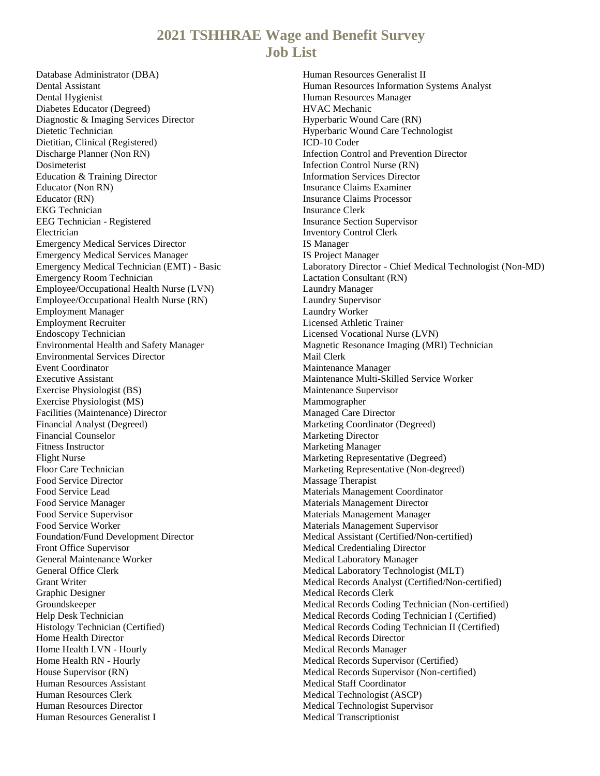## **2021 TSHHRAE Wage and Benefit Survey Job List**

Database Administrator (DBA) Dental Assistant Dental Hygienist Diabetes Educator (Degreed) Diagnostic & Imaging Services Director Dietetic Technician Dietitian, Clinical (Registered) Discharge Planner (Non RN) Dosimeterist Education & Training Director Educator (Non RN) Educator (RN) EKG Technician EEG Technician - Registered Electrician Emergency Medical Services Director Emergency Medical Services Manager Emergency Medical Technician (EMT) - Basic Emergency Room Technician Employee/Occupational Health Nurse (LVN) Employee/Occupational Health Nurse (RN) Employment Manager Employment Recruiter Endoscopy Technician Environmental Health and Safety Manager Environmental Services Director Event Coordinator Executive Assistant Exercise Physiologist (BS) Exercise Physiologist (MS) Facilities (Maintenance) Director Financial Analyst (Degreed) Financial Counselor Fitness Instructor Flight Nurse Floor Care Technician Food Service Director Food Service Lead Food Service Manager Food Service Supervisor Food Service Worker Foundation/Fund Development Director Front Office Supervisor General Maintenance Worker General Office Clerk Grant Writer Graphic Designer Groundskeeper Help Desk Technician Histology Technician (Certified) Home Health Director Home Health LVN - Hourly Home Health RN - Hourly House Supervisor (RN) Human Resources Assistant Human Resources Clerk Human Resources Director Human Resources Generalist I

Human Resources Generalist II Human Resources Information Systems Analyst Human Resources Manager HVAC Mechanic Hyperbaric Wound Care (RN) Hyperbaric Wound Care Technologist ICD-10 Coder Infection Control and Prevention Director Infection Control Nurse (RN) Information Services Director Insurance Claims Examiner Insurance Claims Processor Insurance Clerk Insurance Section Supervisor Inventory Control Clerk IS Manager IS Project Manager Laboratory Director - Chief Medical Technologist (Non-MD) Lactation Consultant (RN) Laundry Manager Laundry Supervisor Laundry Worker Licensed Athletic Trainer Licensed Vocational Nurse (LVN) Magnetic Resonance Imaging (MRI) Technician Mail Clerk Maintenance Manager Maintenance Multi-Skilled Service Worker Maintenance Supervisor Mammographer Managed Care Director Marketing Coordinator (Degreed) Marketing Director Marketing Manager Marketing Representative (Degreed) Marketing Representative (Non-degreed) Massage Therapist Materials Management Coordinator Materials Management Director Materials Management Manager Materials Management Supervisor Medical Assistant (Certified/Non-certified) Medical Credentialing Director Medical Laboratory Manager Medical Laboratory Technologist (MLT) Medical Records Analyst (Certified/Non-certified) Medical Records Clerk Medical Records Coding Technician (Non-certified) Medical Records Coding Technician I (Certified) Medical Records Coding Technician II (Certified) Medical Records Director Medical Records Manager Medical Records Supervisor (Certified) Medical Records Supervisor (Non-certified) Medical Staff Coordinator Medical Technologist (ASCP) Medical Technologist Supervisor Medical Transcriptionist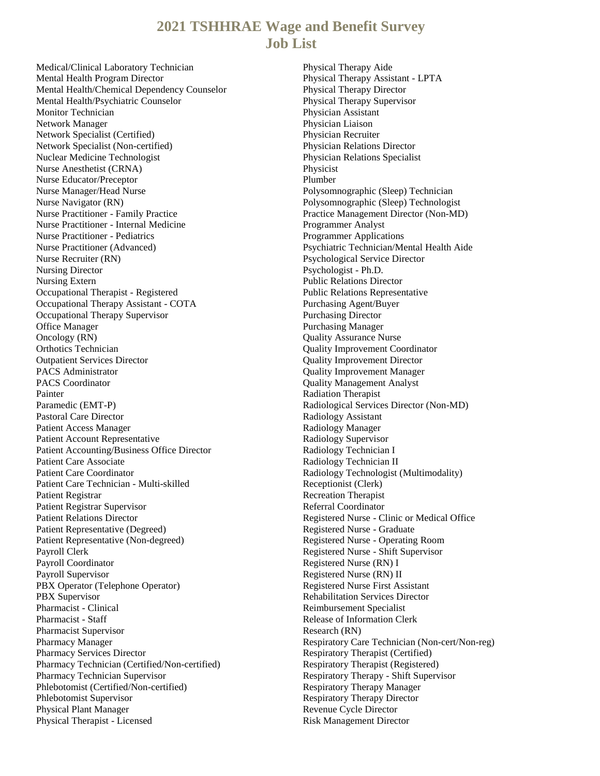## **2021 TSHHRAE Wage and Benefit Survey Job List**

Medical/Clinical Laboratory Technician Mental Health Program Director Mental Health/Chemical Dependency Counselor Mental Health/Psychiatric Counselor Monitor Technician Network Manager Network Specialist (Certified) Network Specialist (Non-certified) Nuclear Medicine Technologist Nurse Anesthetist (CRNA) Nurse Educator/Preceptor Nurse Manager/Head Nurse Nurse Navigator (RN) Nurse Practitioner - Family Practice Nurse Practitioner - Internal Medicine Nurse Practitioner - Pediatrics Nurse Practitioner (Advanced) Nurse Recruiter (RN) Nursing Director Nursing Extern Occupational Therapist - Registered Occupational Therapy Assistant - COTA Occupational Therapy Supervisor Office Manager Oncology (RN) Orthotics Technician Outpatient Services Director PACS Administrator PACS Coordinator Painter Paramedic (EMT-P) Pastoral Care Director Patient Access Manager Patient Account Representative Patient Accounting/Business Office Director Patient Care Associate Patient Care Coordinator Patient Care Technician - Multi-skilled Patient Registrar Patient Registrar Supervisor Patient Relations Director Patient Representative (Degreed) Patient Representative (Non-degreed) Payroll Clerk Payroll Coordinator Payroll Supervisor PBX Operator (Telephone Operator) PBX Supervisor Pharmacist - Clinical Pharmacist - Staff Pharmacist Supervisor Pharmacy Manager Pharmacy Services Director Pharmacy Technician (Certified/Non-certified) Pharmacy Technician Supervisor Phlebotomist (Certified/Non-certified) Phlebotomist Supervisor Physical Plant Manager Physical Therapist - Licensed

Physical Therapy Aide Physical Therapy Assistant - LPTA Physical Therapy Director Physical Therapy Supervisor Physician Assistant Physician Liaison Physician Recruiter Physician Relations Director Physician Relations Specialist Physicist Plumber Polysomnographic (Sleep) Technician Polysomnographic (Sleep) Technologist Practice Management Director (Non-MD) Programmer Analyst Programmer Applications Psychiatric Technician/Mental Health Aide Psychological Service Director Psychologist - Ph.D. Public Relations Director Public Relations Representative Purchasing Agent/Buyer Purchasing Director Purchasing Manager Quality Assurance Nurse Quality Improvement Coordinator Quality Improvement Director Quality Improvement Manager Quality Management Analyst Radiation Therapist Radiological Services Director (Non-MD) Radiology Assistant Radiology Manager Radiology Supervisor Radiology Technician I Radiology Technician II Radiology Technologist (Multimodality) Receptionist (Clerk) Recreation Therapist Referral Coordinator Registered Nurse - Clinic or Medical Office Registered Nurse - Graduate Registered Nurse - Operating Room Registered Nurse - Shift Supervisor Registered Nurse (RN) I Registered Nurse (RN) II Registered Nurse First Assistant Rehabilitation Services Director Reimbursement Specialist Release of Information Clerk Research (RN) Respiratory Care Technician (Non-cert/Non-reg) Respiratory Therapist (Certified) Respiratory Therapist (Registered) Respiratory Therapy - Shift Supervisor Respiratory Therapy Manager Respiratory Therapy Director Revenue Cycle Director Risk Management Director